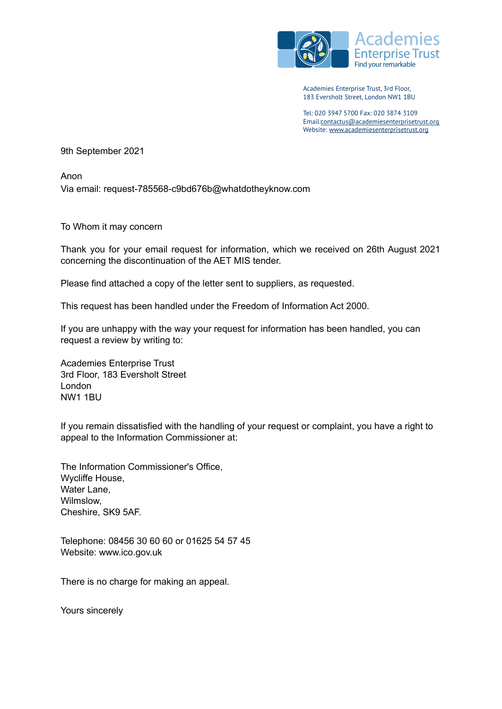

Academies Enterprise Trust, 3rd Floor, 183 Eversholt Street, London NW1 1BU

Tel: 020 3947 5700 Fax: 020 3874 3109 Email:[contactus@academiesenterprisetrust.org](mailto:xxxxxxxxx@xxxxxxxxxxxxxxxxxxxxxxxx.xxx) Website: [www.academiesenterprisetrust.org](http://www.academiesenterprisetrust.org)

9th September 2021

Anon Via email: request-785568-c9bd676b@whatdotheyknow.com

To Whom it may concern

Thank you for your email request for information, which we received on 26th August 2021 concerning the discontinuation of the AET MIS tender.

Please find attached a copy of the letter sent to suppliers, as requested.

This request has been handled under the Freedom of Information Act 2000.

If you are unhappy with the way your request for information has been handled, you can request a review by writing to:

Academies Enterprise Trust 3rd Floor, 183 Eversholt Street London NW1 1BU

If you remain dissatisfied with the handling of your request or complaint, you have a right to appeal to the Information Commissioner at:

The Information Commissioner's Office, Wycliffe House, Water Lane, Wilmslow, Cheshire, SK9 5AF.

Telephone: 08456 30 60 60 or 01625 54 57 45 Website: [www.ico.gov.uk](http://www.ico.gov.uk/)

There is no charge for making an appeal.

Yours sincerely